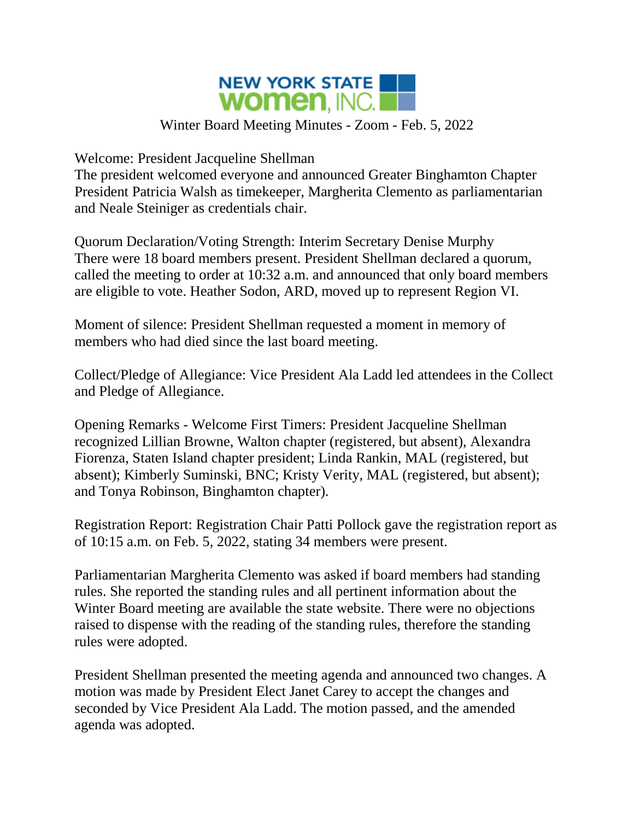

## Winter Board Meeting Minutes - Zoom - Feb. 5, 2022

Welcome: President Jacqueline Shellman

The president welcomed everyone and announced Greater Binghamton Chapter President Patricia Walsh as timekeeper, Margherita Clemento as parliamentarian and Neale Steiniger as credentials chair.

Quorum Declaration/Voting Strength: Interim Secretary Denise Murphy There were 18 board members present. President Shellman declared a quorum, called the meeting to order at 10:32 a.m. and announced that only board members are eligible to vote. Heather Sodon, ARD, moved up to represent Region VI.

Moment of silence: President Shellman requested a moment in memory of members who had died since the last board meeting.

Collect/Pledge of Allegiance: Vice President Ala Ladd led attendees in the Collect and Pledge of Allegiance.

Opening Remarks - Welcome First Timers: President Jacqueline Shellman recognized Lillian Browne, Walton chapter (registered, but absent), Alexandra Fiorenza, Staten Island chapter president; Linda Rankin, MAL (registered, but absent); Kimberly Suminski, BNC; Kristy Verity, MAL (registered, but absent); and Tonya Robinson, Binghamton chapter).

Registration Report: Registration Chair Patti Pollock gave the registration report as of 10:15 a.m. on Feb. 5, 2022, stating 34 members were present.

Parliamentarian Margherita Clemento was asked if board members had standing rules. She reported the standing rules and all pertinent information about the Winter Board meeting are available the state website. There were no objections raised to dispense with the reading of the standing rules, therefore the standing rules were adopted.

President Shellman presented the meeting agenda and announced two changes. A motion was made by President Elect Janet Carey to accept the changes and seconded by Vice President Ala Ladd. The motion passed, and the amended agenda was adopted.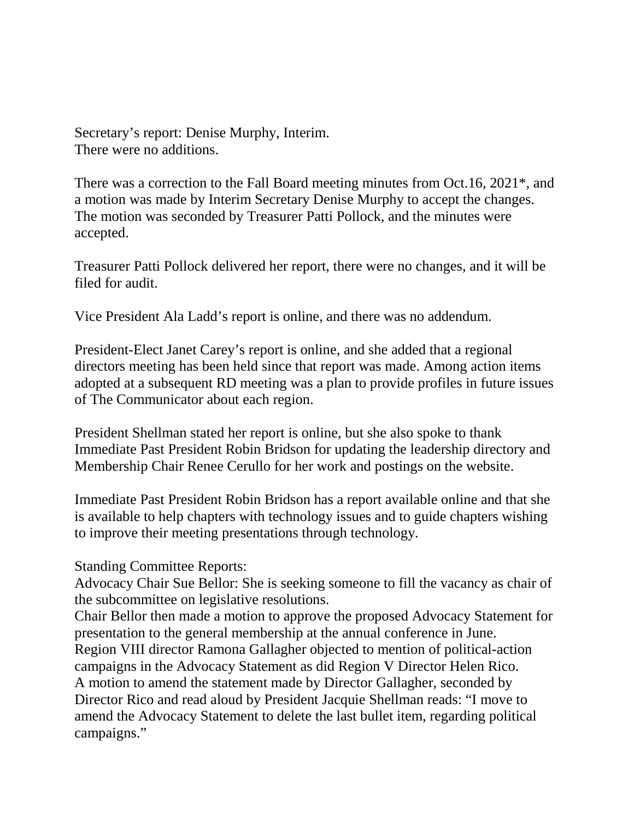Secretary's report: Denise Murphy, Interim. There were no additions.

There was a correction to the Fall Board meeting minutes from Oct.16, 2021\*, and a motion was made by Interim Secretary Denise Murphy to accept the changes. The motion was seconded by Treasurer Patti Pollock, and the minutes were accepted.

Treasurer Patti Pollock delivered her report, there were no changes, and it will be filed for audit.

Vice President Ala Ladd's report is online, and there was no addendum.

President-Elect Janet Carey's report is online, and she added that a regional directors meeting has been held since that report was made. Among action items adopted at a subsequent RD meeting was a plan to provide profiles in future issues of The Communicator about each region.

President Shellman stated her report is online, but she also spoke to thank Immediate Past President Robin Bridson for updating the leadership directory and Membership Chair Renee Cerullo for her work and postings on the website.

Immediate Past President Robin Bridson has a report available online and that she is available to help chapters with technology issues and to guide chapters wishing to improve their meeting presentations through technology.

Standing Committee Reports:

Advocacy Chair Sue Bellor: She is seeking someone to fill the vacancy as chair of the subcommittee on legislative resolutions.

Chair Bellor then made a motion to approve the proposed Advocacy Statement for presentation to the general membership at the annual conference in June. Region VIII director Ramona Gallagher objected to mention of political-action campaigns in the Advocacy Statement as did Region V Director Helen Rico. A motion to amend the statement made by Director Gallagher, seconded by Director Rico and read aloud by President Jacquie Shellman reads: "I move to amend the Advocacy Statement to delete the last bullet item, regarding political campaigns."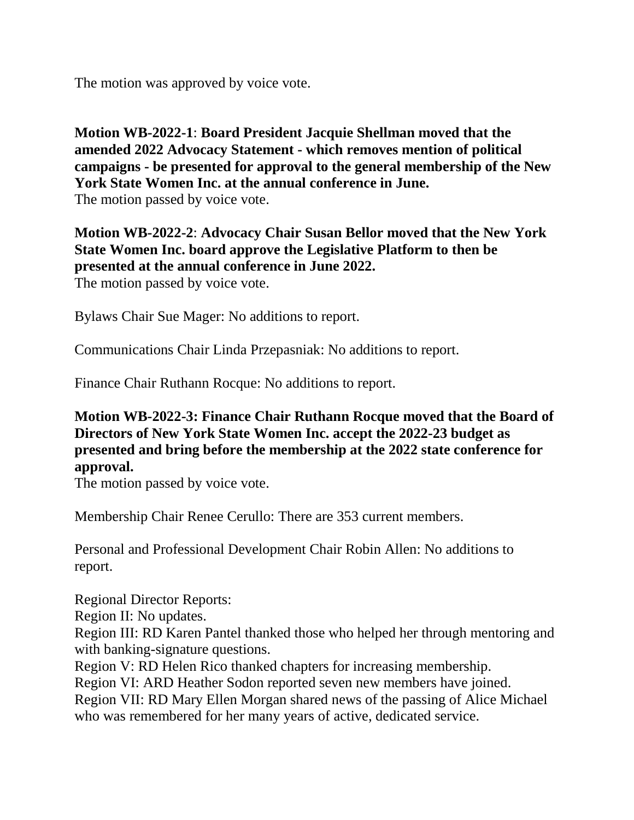The motion was approved by voice vote.

## **Motion WB-2022-1**: **Board President Jacquie Shellman moved that the amended 2022 Advocacy Statement - which removes mention of political campaigns - be presented for approval to the general membership of the New York State Women Inc. at the annual conference in June.** The motion passed by voice vote.

## **Motion WB-2022-2**: **Advocacy Chair Susan Bellor moved that the New York State Women Inc. board approve the Legislative Platform to then be presented at the annual conference in June 2022.**

The motion passed by voice vote.

Bylaws Chair Sue Mager: No additions to report.

Communications Chair Linda Przepasniak: No additions to report.

Finance Chair Ruthann Rocque: No additions to report.

## **Motion WB-2022-3: Finance Chair Ruthann Rocque moved that the Board of Directors of New York State Women Inc. accept the 2022-23 budget as presented and bring before the membership at the 2022 state conference for approval.**

The motion passed by voice vote.

Membership Chair Renee Cerullo: There are 353 current members.

Personal and Professional Development Chair Robin Allen: No additions to report.

Regional Director Reports: Region II: No updates. Region III: RD Karen Pantel thanked those who helped her through mentoring and with banking-signature questions. Region V: RD Helen Rico thanked chapters for increasing membership. Region VI: ARD Heather Sodon reported seven new members have joined. Region VII: RD Mary Ellen Morgan shared news of the passing of Alice Michael who was remembered for her many years of active, dedicated service.